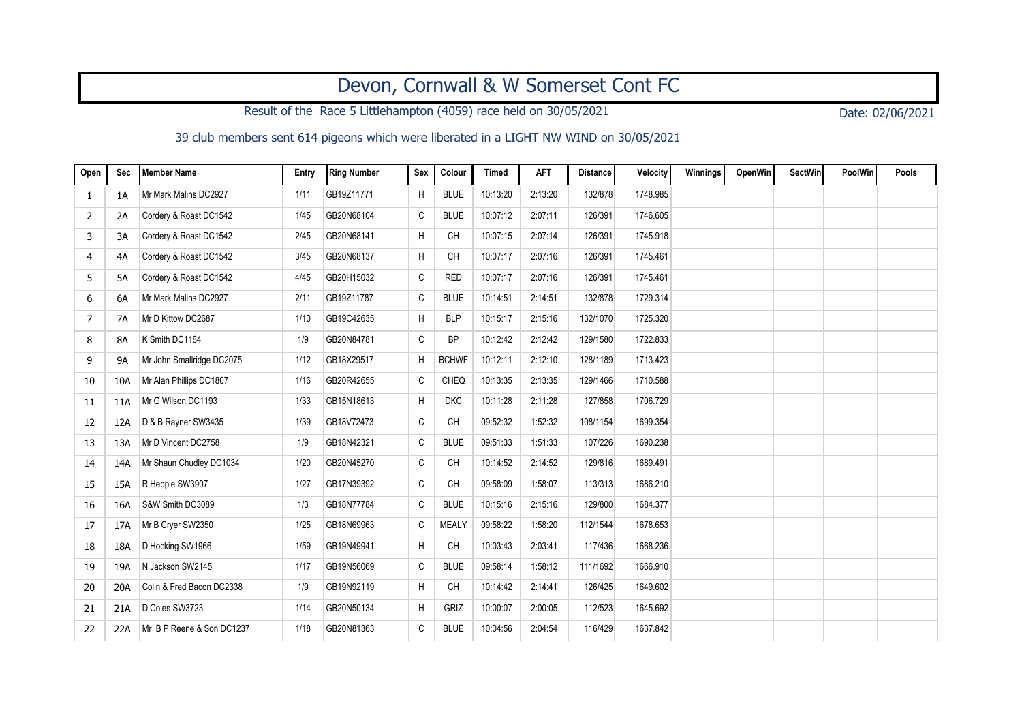## Devon, Cornwall & W Somerset Cont FC

Result of the Race 5 Littlehampton (4059) race held on 30/05/2021 Date: 02/06/2021

## 39 club members sent 614 pigeons which were liberated in a LIGHT NW WIND on 30/05/2021

| Open | Sec       | Member Name               | Entry | <b>Ring Number</b> | Sex          | Colour       | <b>Timed</b> | <b>AFT</b> | <b>Distance</b> | Velocity | Winnings | OpenWin | <b>SectWin</b> | <b>PoolWin</b> | Pools |
|------|-----------|---------------------------|-------|--------------------|--------------|--------------|--------------|------------|-----------------|----------|----------|---------|----------------|----------------|-------|
| 1    | 1A        | Mr Mark Malins DC2927     | 1/11  | GB19Z11771         | H            | <b>BLUE</b>  | 10:13:20     | 2:13:20    | 132/878         | 1748.985 |          |         |                |                |       |
| 2    | 2A        | Cordery & Roast DC1542    | 1/45  | GB20N68104         | C            | <b>BLUE</b>  | 10:07:12     | 2:07:11    | 126/391         | 1746.605 |          |         |                |                |       |
| 3    | 3A        | Cordery & Roast DC1542    | 2/45  | GB20N68141         | Η            | <b>CH</b>    | 10:07:15     | 2:07:14    | 126/391         | 1745.918 |          |         |                |                |       |
| 4    | 4A        | Cordery & Roast DC1542    | 3/45  | GB20N68137         | H            | <b>CH</b>    | 10:07:17     | 2:07:16    | 126/391         | 1745.461 |          |         |                |                |       |
| 5    | 5A        | Cordery & Roast DC1542    | 4/45  | GB20H15032         | C            | <b>RED</b>   | 10:07:17     | 2:07:16    | 126/391         | 1745.461 |          |         |                |                |       |
| 6    | 6A        | Mr Mark Malins DC2927     | 2/11  | GB19Z11787         | $\mathtt{C}$ | <b>BLUE</b>  | 10:14:51     | 2:14:51    | 132/878         | 1729.314 |          |         |                |                |       |
| 7    | 7A        | Mr D Kittow DC2687        | 1/10  | GB19C42635         | H            | <b>BLP</b>   | 10:15:17     | 2:15:16    | 132/1070        | 1725.320 |          |         |                |                |       |
| 8    | <b>8A</b> | K Smith DC1184            | 1/9   | GB20N84781         | C            | <b>BP</b>    | 10:12:42     | 2:12:42    | 129/1580        | 1722.833 |          |         |                |                |       |
| 9    | <b>9A</b> | Mr John Smallridge DC2075 | 1/12  | GB18X29517         | H            | <b>BCHWF</b> | 10:12:11     | 2:12:10    | 128/1189        | 1713.423 |          |         |                |                |       |
| 10   | 10A       | Mr Alan Phillips DC1807   | 1/16  | GB20R42655         | $\mathtt{C}$ | CHEQ         | 10:13:35     | 2:13:35    | 129/1466        | 1710.588 |          |         |                |                |       |
| 11   | 11A       | Mr G Wilson DC1193        | 1/33  | GB15N18613         | H            | <b>DKC</b>   | 10:11:28     | 2:11:28    | 127/858         | 1706.729 |          |         |                |                |       |
| 12   | 12A       | D & B Rayner SW3435       | 1/39  | GB18V72473         | C            | <b>CH</b>    | 09:52:32     | 1.52:32    | 108/1154        | 1699.354 |          |         |                |                |       |
| 13   | 13A       | Mr D Vincent DC2758       | 1/9   | GB18N42321         | C            | <b>BLUE</b>  | 09:51:33     | 1:51:33    | 107/226         | 1690.238 |          |         |                |                |       |
| 14   | 14A       | Mr Shaun Chudley DC1034   | 1/20  | GB20N45270         | C            | <b>CH</b>    | 10:14:52     | 2:14:52    | 129/816         | 1689.491 |          |         |                |                |       |
| 15   | 15A       | R Hepple SW3907           | 1/27  | GB17N39392         | $\mathtt{C}$ | <b>CH</b>    | 09:58:09     | 1:58:07    | 113/313         | 1686.210 |          |         |                |                |       |
| 16   | 16A       | S&W Smith DC3089          | 1/3   | GB18N77784         | C            | <b>BLUE</b>  | 10:15:16     | 2:15:16    | 129/800         | 1684.377 |          |         |                |                |       |
| 17   | 17A       | Mr B Cryer SW2350         | 1/25  | GB18N69963         | C            | <b>MEALY</b> | 09:58:22     | 1:58:20    | 112/1544        | 1678.653 |          |         |                |                |       |
| 18   | 18A       | D Hocking SW1966          | 1/59  | GB19N49941         | H            | <b>CH</b>    | 10:03:43     | 2:03:41    | 117/436         | 1668.236 |          |         |                |                |       |
| 19   | 19A       | N Jackson SW2145          | 1/17  | GB19N56069         | C            | <b>BLUE</b>  | 09:58:14     | 1.58:12    | 111/1692        | 1666.910 |          |         |                |                |       |
| 20   | 20A       | Colin & Fred Bacon DC2338 | 1/9   | GB19N92119         | H            | <b>CH</b>    | 10:14:42     | 2:14:41    | 126/425         | 1649.602 |          |         |                |                |       |
| 21   | 21A       | D Coles SW3723            | 1/14  | GB20N50134         | H            | GRIZ         | 10:00:07     | 2:00:05    | 112/523         | 1645.692 |          |         |                |                |       |
| 22   | 22A       | Mr B P Reene & Son DC1237 | 1/18  | GB20N81363         | $\mathtt{C}$ | <b>BLUE</b>  | 10:04:56     | 2:04:54    | 116/429         | 1637.842 |          |         |                |                |       |